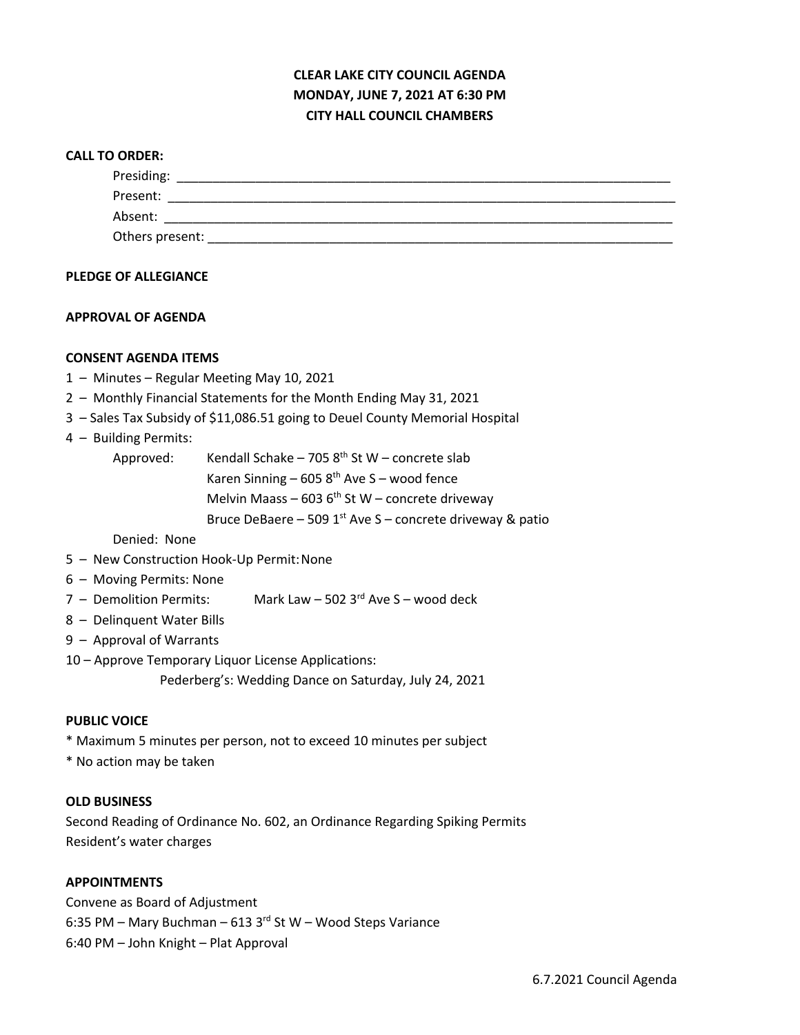# **CLEAR LAKE CITY COUNCIL AGENDA MONDAY, JUNE 7, 2021 AT 6:30 PM CITY HALL COUNCIL CHAMBERS**

#### **CALL TO ORDER:**

| Presiding:      |  |  |
|-----------------|--|--|
| Present:        |  |  |
| Absent:         |  |  |
| Others present: |  |  |

#### **PLEDGE OF ALLEGIANCE**

## **APPROVAL OF AGENDA**

## **CONSENT AGENDA ITEMS**

- 1 Minutes Regular Meeting May 10, 2021
- 2 Monthly Financial Statements for the Month Ending May 31, 2021
- 3 Sales Tax Subsidy of \$11,086.51 going to Deuel County Memorial Hospital

## 4 – Building Permits:

Approved: Kendall Schake – 705  $8<sup>th</sup>$  St W – concrete slab Karen Sinning – 605  $8<sup>th</sup>$  Ave S – wood fence Melvin Maass – 603  $6<sup>th</sup>$  St W – concrete driveway Bruce DeBaere – 509  $1<sup>st</sup>$  Ave S – concrete driveway & patio

Denied: None

- 5 New Construction Hook-Up Permit:None
- 6 Moving Permits: None
- $7 -$  Demolition Permits: Mark Law 502 3<sup>rd</sup> Ave S wood deck
- 8 Delinquent Water Bills
- 9 Approval of Warrants
- 10 Approve Temporary Liquor License Applications:

Pederberg's: Wedding Dance on Saturday, July 24, 2021

#### **PUBLIC VOICE**

- \* Maximum 5 minutes per person, not to exceed 10 minutes per subject
- \* No action may be taken

#### **OLD BUSINESS**

Second Reading of Ordinance No. 602, an Ordinance Regarding Spiking Permits Resident's water charges

#### **APPOINTMENTS**

Convene as Board of Adjustment 6:35 PM – Mary Buchman – 613 3 $^{rd}$  St W – Wood Steps Variance 6:40 PM – John Knight – Plat Approval